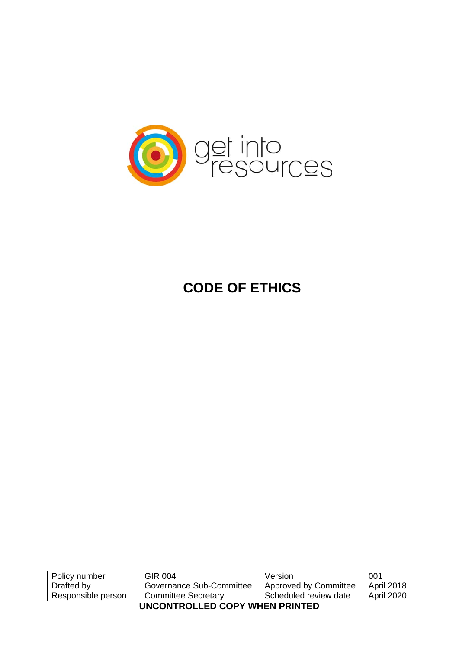

# **CODE OF ETHICS**

| Policy number                  | GIR 004                    | Version               | 001               |  |  |
|--------------------------------|----------------------------|-----------------------|-------------------|--|--|
| Drafted by                     | Governance Sub-Committee   | Approved by Committee | <b>April 2018</b> |  |  |
| Responsible person             | <b>Committee Secretary</b> | Scheduled review date | <b>April 2020</b> |  |  |
| UNCONTROLLED COPY WHEN PRINTED |                            |                       |                   |  |  |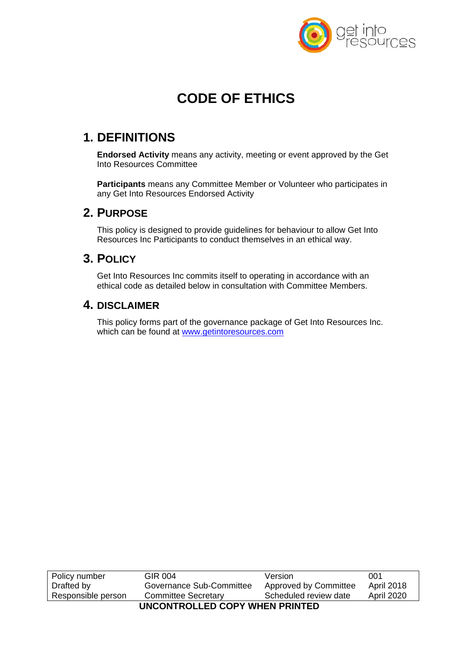

# **CODE OF ETHICS**

### **1. DEFINITIONS**

**Endorsed Activity** means any activity, meeting or event approved by the Get Into Resources Committee

**Participants** means any Committee Member or Volunteer who participates in any Get Into Resources Endorsed Activity

#### **2. PURPOSE**

This policy is designed to provide guidelines for behaviour to allow Get Into Resources Inc Participants to conduct themselves in an ethical way.

#### **3. POLICY**

Get Into Resources Inc commits itself to operating in accordance with an ethical code as detailed below in consultation with Committee Members.

#### **4. DISCLAIMER**

This policy forms part of the governance package of Get Into Resources Inc. which can be found at www.getintoresources.com

| Policy number                  | GIR 004                    | Version               | 001               |  |
|--------------------------------|----------------------------|-----------------------|-------------------|--|
| Drafted by                     | Governance Sub-Committee   | Approved by Committee | <b>April 2018</b> |  |
| Responsible person             | <b>Committee Secretary</b> | Scheduled review date | <b>April 2020</b> |  |
| UNCONTROLLED COPY WHEN PRINTED |                            |                       |                   |  |